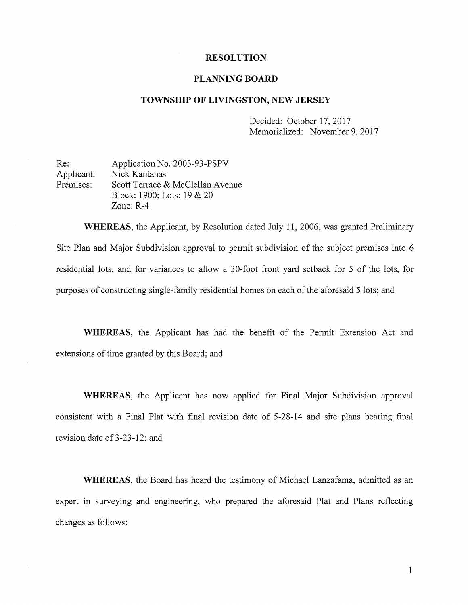## RESOLUTION

## PLANNING BOARD

## TOWNSHIP OF LIVINGSTON, NEW JERSEY

Decided: October 17, 2017 Memorialized: November 9, 2017

Re: Application No. 2003-93-PSPV Applicant: Nick Kantanas Premises: Scott Terrace & McClellan Avenue Block: 1900; Lots: 19 & 20 Zone: R-4

WHEREAS, the Applicant, by Resolution dated July 11, 2006, was granted Preliminary Site Plan and Major Subdivision approval to permit subdivision of the subject premises into <sup>6</sup> residential lots, and for variances to allow <sup>a</sup> 30-foot front yard setback for <sup>5</sup> of the lots, for purposes of constructing single-family residential homes on each of the aforesaid <sup>5</sup> lots; and

WHEREAS, the Applicant has had the benefit of the Permit Extension Act and extensions of time granted by this Board; and

WHEREAS, the Applicant has now applied for Final Major Subdivision approval consistent with a Final Plat with final revision date of 5-28-14 and site plans bearing final revision date of 3-23-12; and

WHEREAS, the Board has heard the testimony of Michael Lanzafama, admitted as an expert in surveying and engineering, who prepared the aforesaid Plat and Plans reflecting changes as follows:

1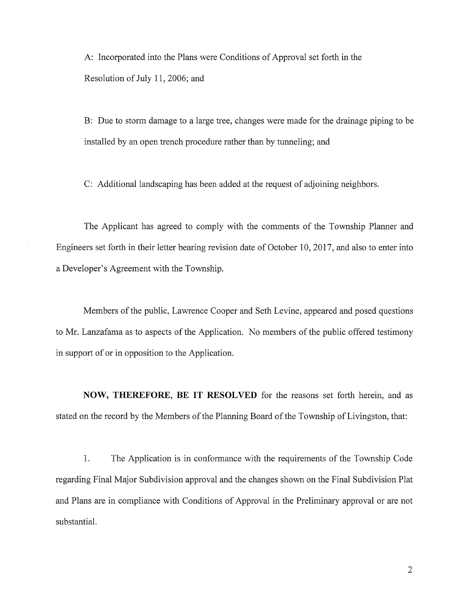A: Incorporated into the Plans were Conditions of Approval set forth in the Resolution of July 11, 2006; and

B: Due to storm damage to a large tree, changes were made for the drainage piping to be installed by an open trench procedure rather than by tunneling; and

C: Additional landscaping has been added at the request of adjoining neighbors.

The Applicant has agreed to comply with the comments of the Township Planner and Engineers set forth in their letter bearing revision date of October 10, 2017, and also to enter into a Developer's Agreement with the Township.

Members of the public, Lawrence Cooper and Seth Levine, appeared and posed questions to Mr. Lanzafama as to aspects of the Application. No members of the public offered testimony in support of or in opposition to the Application.

NOW, THEREFORE, BE IT RESOLVED for the reasons set forth herein, and as stated on the record by the Members of the Planning Board of the Township of Livingston, that:

1. The Application is in conformance with the requirements of the Township Code regarding Final Major Subdivision approval and the changes shown on the Final Subdivision Plat and Plans are in compliance with Conditions of Approval in the Preliminary approval or are not substantial.

2